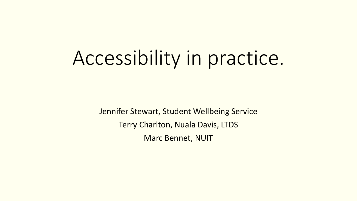# Accessibility in practice.

Jennifer Stewart, Student Wellbeing Service Terry Charlton, Nuala Davis, LTDS Marc Bennet, NUIT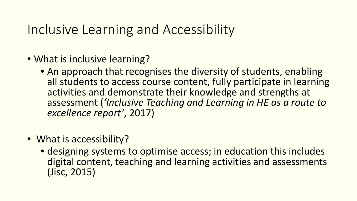# Inclusive Learning and Accessibility

- What is inclusive learning?
	- An approach that recognises the diversity of students, enabling all students to access course content, fully participate in learning activities and demonstrate their knowledge and strengths at assessment (*'Inclusive Teaching and Learning in HE as a route to excellence report'*, 2017)
- What is accessibility?
	- designing systems to optimise access; in education this includes digital content, teaching and learning activities and assessments (Jisc, 2015)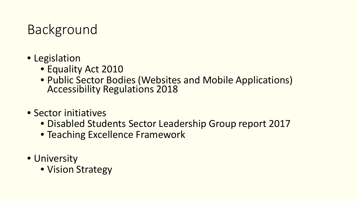# Background

- Legislation
	- Equality Act 2010
	- Public Sector Bodies (Websites and Mobile Applications) Accessibility Regulations 2018
- Sector initiatives
	- Disabled Students Sector Leadership Group report 2017
	- Teaching Excellence Framework
- University
	- Vision Strategy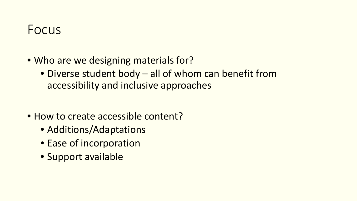## Focus

- Who are we designing materials for?
	- Diverse student body all of whom can benefit from accessibility and inclusive approaches
- How to create accessible content?
	- Additions/Adaptations
	- Ease of incorporation
	- Support available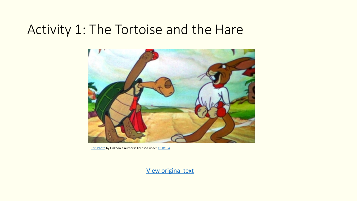## Activity 1: The Tortoise and the Hare



[This Photo](http://ru.wikifur.com/wiki/%D0%97%D0%B0%D1%8F%D1%86_%D0%B8_%D1%87%D0%B5%D1%80%D0%B5%D0%BF%D0%B0%D1%85%D0%B0) by Unknown Author is licensed under [CC BY-SA](https://creativecommons.org/licenses/by-sa/3.0/)

[View original text](https://newcastle.sharepoint.com/:w:/r/sites/3PsAccessibility/_layouts/15/Doc.aspx?sourcedoc=%7BE305A72B-1311-4BD2-9991-F59C3EDFAF91%7D&file=Tortoise%20and%20Hare%20-%20unchanged.doc&action=default&mobileredirect=true)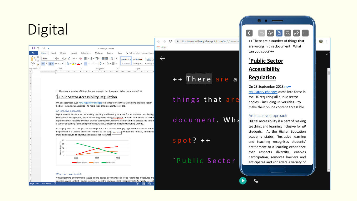# **Digital**

|              | 日う・のっ          |                                                                                              |        | activity2 (1) - Word |           |  |    |  |                                                           |  |  |  |
|--------------|----------------|----------------------------------------------------------------------------------------------|--------|----------------------|-----------|--|----|--|-----------------------------------------------------------|--|--|--|
| File         | Home<br>Insert | Design                                                                                       | Layout | References           |           |  |    |  | Mailings Review View $\Omega$ Tell me what you want to do |  |  |  |
|              |                |                                                                                              |        |                      |           |  |    |  |                                                           |  |  |  |
| Clipboard 5  |                | Font                                                                                         | Ex.    |                      | Paragraph |  | Б. |  | Styles                                                    |  |  |  |
| $\mathbf{L}$ |                | $1+2+1+1+1+\sum_{i=1}^n(1+2+i+3+i+4+i+5+i+6+i+7+i+8+i+9+i+10+i+11+i+12+i+13+i+14+i+15+i+11)$ |        |                      |           |  |    |  |                                                           |  |  |  |

++ There are a number of things that are wrong in this document. What can you spot? ++

#### **Public Sector Accessibility Regulation**

On 23 September 2018 new regulatory changes came into force in the UK requiring all public sector bodies - including universities - to make their online content accessible.

#### An inclusive approach

Digital accessibility is a part of making teaching and learning inclusive for all students. As the High Education academy states, "inclusive learning and teaching recognises students' entitlement to a learni experience that respects diversity, enables participation, removes barriers and anticipates and conside a variety of learning needs and preferences without directly or indirectly excluding anyone."

In keeping with the principle of inclusive practice and universal design, digital content should therefo be provided in a useable and useful manner to the user Chart Area multiple file formats, considerati muse also be given to how students access the resources.



#### What do I need to do?

Virtual learning environments (VLEs), online course documents and video recordings of lectures are counted as web content - and as such must meet the new accessibility requirements. To meet accessibil

图 目 民 -

 $\mathcal{C}$ ■ https://newcastle-my.sharepoint.com/:w:/r/personal ++ There are a

 $\leftarrow$   $\rightarrow$ 

**III** Apps

 $\leftarrow$ 

### things that are

### document. Wha

spot?  $++$ 

Public Sector

### $\Omega$  $\overrightarrow{a}$  $\cdots$

 $\bullet$   $\bullet$ 

++ There are a number of things that are wrong in this document. What can you spot? ++

### **`Public Sector**

G.

 $\sim$ 

### **Accessibility**

**Regulation** 

On 23 September 2018 new regulatory changes came into force in the UK requiring all public sector  $b$ odies – including universities – to make their online content accessible.

#### An inclusive approach

 $\mathfrak{c}_{\alpha}$ 

Digital accessibility is a part of making teaching and learning inclusive for all students. As the Higher Education academy states, "inclusive learning and teaching recognises students' entitlement to a learning experience that respects diversity, enables participation, removes barriers and anticipates and considers a variety of



 $\sim$ 

 $\pm$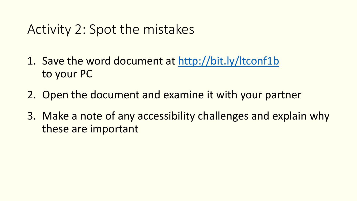## Activity 2: Spot the mistakes

- 1. Save the word document at <http://bit.ly/ltconf1b> to your PC
- 2. Open the document and examine it with your partner
- 3. Make a note of any accessibility challenges and explain why these are important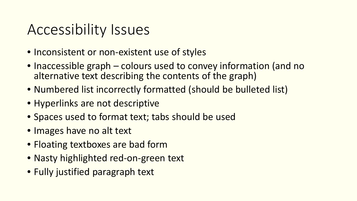# Accessibility Issues

- Inconsistent or non-existent use of styles
- Inaccessible graph colours used to convey information (and no alternative text describing the contents of the graph)
- Numbered list incorrectly formatted (should be bulleted list)
- Hyperlinks are not descriptive
- Spaces used to format text; tabs should be used
- Images have no alt text
- Floating textboxes are bad form
- Nasty highlighted red-on-green text
- Fully justified paragraph text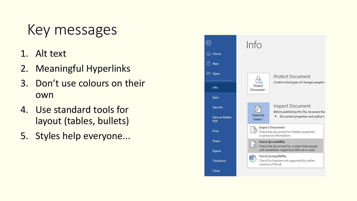# Key messages

- 1. Alt text
- 2. Meaningful Hyperlinks
- 3. Don't use colours on their own
- 4. Use standard tools for layout (tables, bullets)
- 5. Styles help everyone...

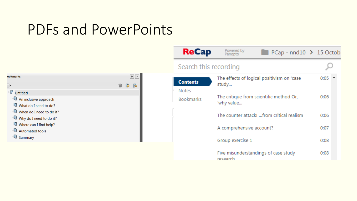# PDFs and PowerPoints

|                                                                                                                           |              | <b>ReCap</b>              | Powered by<br>Panopto                                 | PCap - nnd10 → 15 Octob                    |      |
|---------------------------------------------------------------------------------------------------------------------------|--------------|---------------------------|-------------------------------------------------------|--------------------------------------------|------|
|                                                                                                                           |              | Search this recording     |                                                       |                                            |      |
| ookmarks<br>FE<br>$\Box$ $\Box$ $\Box$                                                                                    | $\boxed{44}$ | <b>Contents</b>           | The effects of logical positivism on 'case<br>study   | $0:05$ $\triangle$                         |      |
| <sup>E</sup> Untitled<br>$\overline{\mathbb{CP}}$ An inclusive approach<br>$\overline{\mathbb{CP}}$ What do I need to do? |              | Notes<br><b>Bookmarks</b> | The critique from scientific method Or,<br>'why value | 0:06                                       |      |
| $\overline{\mathbb{CP}}$ When do I need to do it?<br>$\overline{\mathbb{CP}}$ Why do I need to do it?                     |              |                           |                                                       | The counter attack!  from critical realism | 0:06 |
| $\overline{\mathbb{Q}}$ Where can I find help?<br><b>W</b> Automated tools                                                |              |                           | A comprehensive account?                              |                                            | 0:07 |
| $\overline{\mathbb{CP}}$ Summary                                                                                          |              |                           | Group exercise 1                                      |                                            | 0:08 |
|                                                                                                                           |              |                           | research                                              | Five misunderstandings of case study       | 0:08 |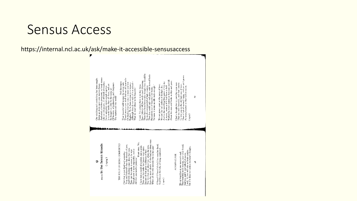## Sensus Access

### https://internal.ncl.ac.uk/ask/make-it-accessible-sensusaccess

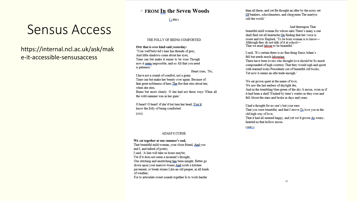### ▲ FROM In the Seven Woods

 $(i904)$ 

#### THE FOLLY OF BEING COMFORTED.

ONE that is ever kind said vesterday:

'Your well'beloved's hair has threads of grey, And little shadows come about her eyes; Time can but make it easier to be wise Though now it seem impossible, and so All that you need is patience.'

Heart cries. 'No.

I have not a crumb of comfort, not a grain. Time can but make her beauty over again: Because of that great nobleness of hers The fire that stirs about her, when she stirs. Bums but more clearly. O she had not these ways When all

the wild summer was in her gaze.'

O heart! O heart! if she'd but turn her head, You'd know the folly of being comforted.

 $(1902)$ 

Sensus Access

https://internal.ncl.ac.uk/ask/mak

e-it-accessible-sensusaccess

#### **ADAM'S CURSE**

WE sat together at one summer's end, That beautiful mild woman, your close friend, And you and I, and talked of poetry. I said, 'A line will take us hours maybe; Yet if it does not seem a moment's thought, Our stitching and unstitching has been naught. Better go down upon your marrow-bones And scrub a kitchen pavement, or break stones Like an old pauper, in all kinds of weather: For to articulate sweet sounds together Is to work harder

than all these, and yet Be thought an idler by the noisy set Of bankers, schoolmasters, and clergymen The martyrs call the world.'

And thereupon That

beautiful mild woman for whose sake There's many a one shall find out all heartache On finding that her voice is sweet and low Replied, 'To be born woman is to know-Although they do not talk of it at school-That we must labour to be beautiful.'

I said, 'It's certain there is no fine thing Since Adam's fall but needs much labouring. There have been lovers who thought love should be So much compounded of high courtesy That they would sigh and quote with learned looks Precedents out of beautiful old books:

Yet now it seems an idle trade enough.'

We sat grown quiet at the name of love: We saw the last embers of daylight die, And in the trembling blue-green of the sky A moon, worn as if it had been a shell Washed by time's waters as they rose and fell About the stars and broke in days and years.

I had a thought for no one's but your ears: That you were beautiful, and that I strove To love you in the old high way of love; That it had all seemed happy, and yet we'd grown As wearyhearted as that hollow moon

 $(1982)$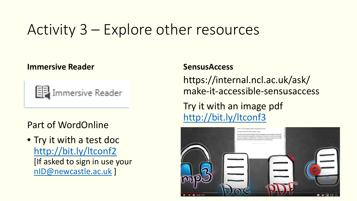# Activity 3 – Explore other resources

### **Immersive Reader**



### Part of WordOnline

• Try it with a test doc <http://bit.ly/ltconf2> [If asked to sign in use your [nID@newcastle.ac.uk](mailto:nID@newcastle.ac.uk) ]

### **SensusAccess**

https://internal.ncl.ac.uk/ask/ make-it-accessible-sensusaccess Try it with an image pdf <http://bit.ly/ltconf3>

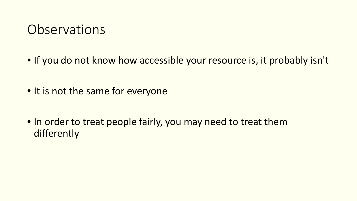## **Observations**

- If you do not know how accessible your resource is, it probably isn't
- It is not the same for everyone
- In order to treat people fairly, you may need to treat them differently